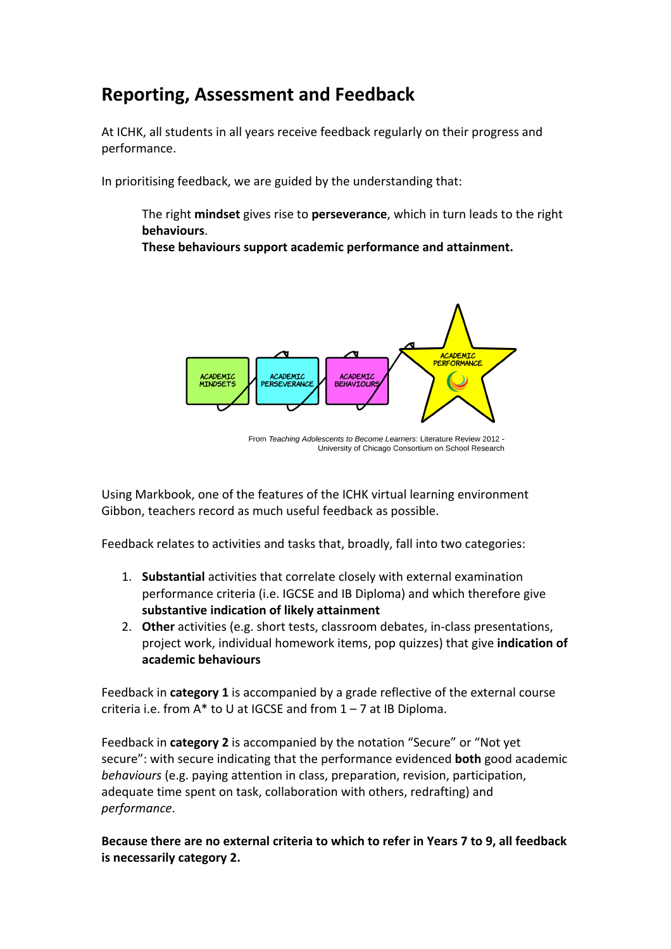## **Reporting, Assessment and Feedback**

At ICHK, all students in all years receive feedback regularly on their progress and performance.

In prioritising feedback, we are guided by the understanding that:

The right **mindset** gives rise to **perseverance**, which in turn leads to the right **behaviours**. 

These behaviours support academic performance and attainment.



From Teaching Adolescents to Become Learners: Literature Review 2012 -University of Chicago Consortium on School Research

Using Markbook, one of the features of the ICHK virtual learning environment Gibbon, teachers record as much useful feedback as possible.

Feedback relates to activities and tasks that, broadly, fall into two categories:

- 1. **Substantial** activities that correlate closely with external examination performance criteria (i.e. IGCSE and IB Diploma) and which therefore give substantive indication of likely attainment
- 2. Other activities (e.g. short tests, classroom debates, in-class presentations, project work, individual homework items, pop quizzes) that give *indication* of **academic behaviours**

Feedback in **category 1** is accompanied by a grade reflective of the external course criteria i.e. from  $A^*$  to U at IGCSE and from  $1 - 7$  at IB Diploma.

Feedback in **category 2** is accompanied by the notation "Secure" or "Not yet secure": with secure indicating that the performance evidenced **both** good academic *behaviours* (e.g. paying attention in class, preparation, revision, participation, adequate time spent on task, collaboration with others, redrafting) and *performance*. 

Because there are no external criteria to which to refer in Years 7 to 9, all feedback **is necessarily category 2.**